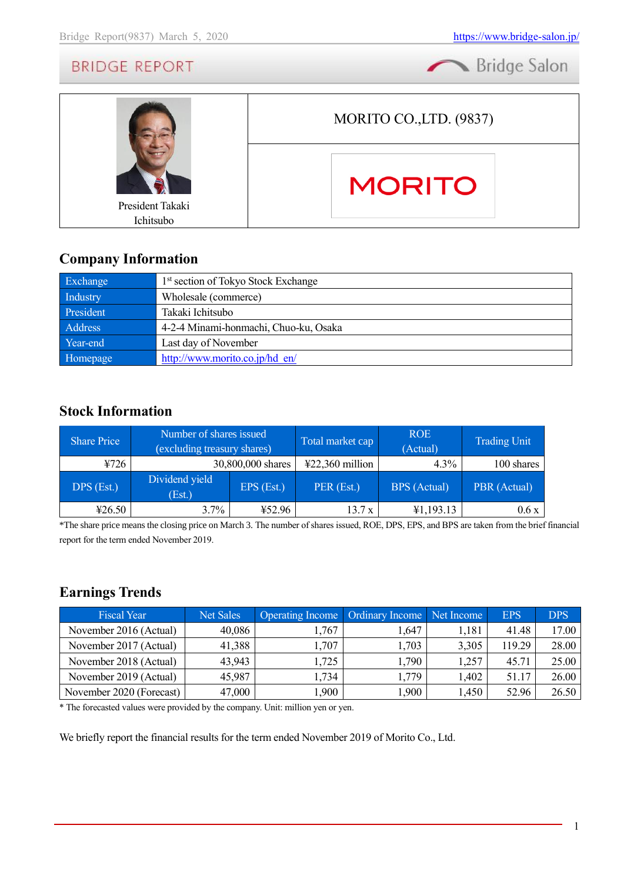Bridge Salon



### **Company Information**

| Exchange  | 1 <sup>st</sup> section of Tokyo Stock Exchange |
|-----------|-------------------------------------------------|
| Industry  | Wholesale (commerce)                            |
| President | Takaki Ichitsubo                                |
| Address   | 4-2-4 Minami-honmachi, Chuo-ku, Osaka           |
| Year-end  | Last day of November                            |
| Homepage  | http://www.morito.co.jp/hd en/                  |

### **Stock Information**

| <b>Share Price</b> | Number of shares issued<br>(excluding treasury shares) |                   | Total market cap                     | <b>ROE</b><br>(Actual) | <b>Trading Unit</b> |
|--------------------|--------------------------------------------------------|-------------------|--------------------------------------|------------------------|---------------------|
| 4726               |                                                        | 30,800,000 shares | $\text{\textsterling}22,360$ million | $4.3\%$                | 100 shares          |
| DPS (Est.)         | Dividend yield<br>(Est.)                               | EPS (Est.)        | PER (Est.)                           | <b>BPS</b> (Actual)    | PBR (Actual)        |
| 426.50             | $3.7\%$                                                | ¥52.96            | 13.7 x                               | ¥1,193.13              | 0.6x                |

\*The share price means the closing price on March 3. The number of shares issued, ROE, DPS, EPS, and BPS are taken from the brief financial report for the term ended November 2019.

# **Earnings Trends**

| <b>Fiscal Year</b>       | <b>Net Sales</b> | Operating Income   Ordinary Income   Net Income |       |       | <b>EPS</b> | <b>DPS</b> |
|--------------------------|------------------|-------------------------------------------------|-------|-------|------------|------------|
| November 2016 (Actual)   | 40,086           | 1,767                                           | 1,647 | 1,181 | 41.48      | 17.00      |
| November 2017 (Actual)   | 41,388           | 1,707                                           | 1,703 | 3,305 | 119.29     | 28.00      |
| November 2018 (Actual)   | 43,943           | 1,725                                           | 1,790 | 1,257 | 45.71      | 25.00      |
| November 2019 (Actual)   | 45,987           | .734                                            | 1,779 | 1,402 | 51.17      | 26.00      |
| November 2020 (Forecast) | 47,000           | ,900                                            | ,900  | 1,450 | 52.96      | 26.50      |

\* The forecasted values were provided by the company. Unit: million yen or yen.

We briefly report the financial results for the term ended November 2019 of Morito Co., Ltd.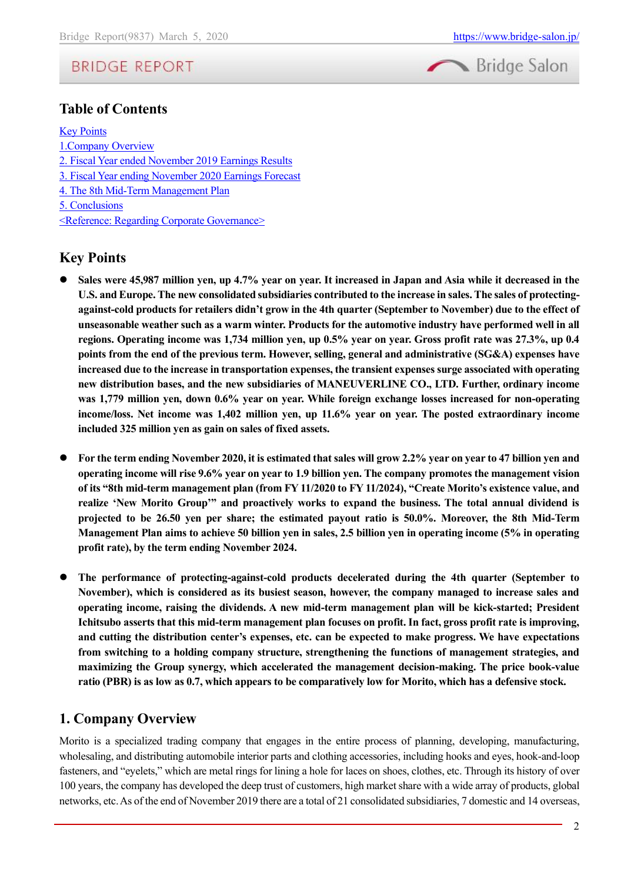



### **Table of Contents**

[Key Points](#page-1-0) [1.Company Overview](#page-1-1) 2. Fiscal Year [ended November 2019 Earnings Results](#page-7-0) [3. Fiscal Year ending November 2020](#page-11-0) Earnings Forecast [4. The 8th Mid-Term Management Plan](#page-11-1) [5. Conclusions](#page-15-0) [<Reference: Regarding Corporate Governance>](#page-15-1)

### <span id="page-1-0"></span>**Key Points**

- Sales were 45,987 million yen, up 4.7% year on year. It increased in Japan and Asia while it decreased in the **U.S. and Europe. The new consolidated subsidiaries contributed to the increase in sales. The sales of protectingagainst-cold products for retailers didn't grow in the 4th quarter (September to November) due to the effect of unseasonable weather such as a warm winter. Products for the automotive industry have performed well in all regions. Operating income was 1,734 million yen, up 0.5% year on year. Gross profit rate was 27.3%, up 0.4 points from the end of the previous term. However, selling, general and administrative (SG&A) expenses have increased due to the increase in transportation expenses, the transient expenses surge associated with operating new distribution bases, and the new subsidiaries of MANEUVERLINE CO., LTD. Further, ordinary income was 1,779 million yen, down 0.6% year on year. While foreign exchange losses increased for non-operating income/loss. Net income was 1,402 million yen, up 11.6% year on year. The posted extraordinary income included 325 million yen as gain on sales of fixed assets.**
- ⚫ **For the term ending November 2020, it is estimated that sales will grow 2.2% year on year to 47 billion yen and operating income will rise 9.6% year on year to 1.9 billion yen. The company promotes the management vision of its "8th mid-term management plan (from FY 11/2020 to FY 11/2024), "Create Morito's existence value, and realize 'New Morito Group'" and proactively works to expand the business. The total annual dividend is projected to be 26.50 yen per share; the estimated payout ratio is 50.0%. Moreover, the 8th Mid-Term Management Plan aims to achieve 50 billion yen in sales, 2.5 billion yen in operating income (5% in operating profit rate), by the term ending November 2024.**
- ⚫ **The performance of protecting-against-cold products decelerated during the 4th quarter (September to November), which is considered as its busiest season, however, the company managed to increase sales and operating income, raising the dividends. A new mid-term management plan will be kick-started; President Ichitsubo asserts that this mid-term management plan focuses on profit. In fact, gross profit rate is improving, and cutting the distribution center's expenses, etc. can be expected to make progress. We have expectations from switching to a holding company structure, strengthening the functions of management strategies, and maximizing the Group synergy, which accelerated the management decision-making. The price book-value ratio (PBR) is as low as 0.7, which appears to be comparatively low for Morito, which has a defensive stock.**

### <span id="page-1-1"></span>**1. Company Overview**

Morito is a specialized trading company that engages in the entire process of planning, developing, manufacturing, wholesaling, and distributing automobile interior parts and clothing accessories, including hooks and eyes, hook-and-loop fasteners, and "eyelets," which are metal rings for lining a hole for laces on shoes, clothes, etc. Through its history of over 100 years, the company has developed the deep trust of customers, high market share with a wide array of products, global networks, etc. As of the end of November 2019 there are a total of 21 consolidated subsidiaries, 7 domestic and 14 overseas,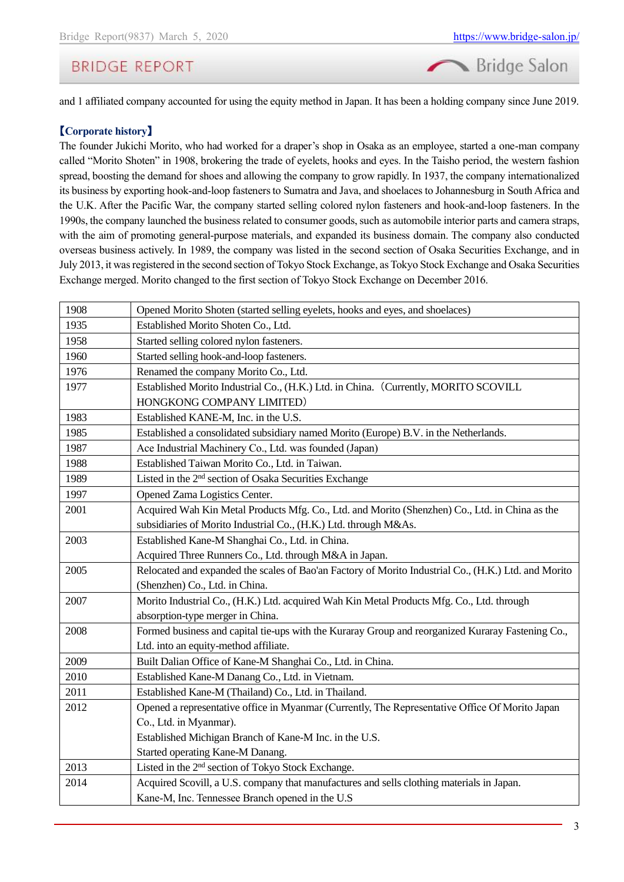Bridge Salon

# **BRIDGE REPORT**

and 1 affiliated company accounted for using the equity method in Japan. It has been a holding company since June 2019.

#### 【**Corporate history**】

The founder Jukichi Morito, who had worked for a draper's shop in Osaka as an employee, started a one-man company called "Morito Shoten" in 1908, brokering the trade of eyelets, hooks and eyes. In the Taisho period, the western fashion spread, boosting the demand for shoes and allowing the company to grow rapidly. In 1937, the company internationalized its business by exporting hook-and-loop fasteners to Sumatra and Java, and shoelaces to Johannesburg in South Africa and the U.K. After the Pacific War, the company started selling colored nylon fasteners and hook-and-loop fasteners. In the 1990s, the company launched the business related to consumer goods, such as automobile interior parts and camera straps, with the aim of promoting general-purpose materials, and expanded its business domain. The company also conducted overseas business actively. In 1989, the company was listed in the second section of Osaka Securities Exchange, and in July 2013, it was registered in the second section of Tokyo Stock Exchange, as Tokyo Stock Exchange and Osaka Securities Exchange merged. Morito changed to the first section of Tokyo Stock Exchange on December 2016.

| 1908 | Opened Morito Shoten (started selling eyelets, hooks and eyes, and shoelaces)                        |
|------|------------------------------------------------------------------------------------------------------|
| 1935 | Established Morito Shoten Co., Ltd.                                                                  |
| 1958 | Started selling colored nylon fasteners.                                                             |
| 1960 | Started selling hook-and-loop fasteners.                                                             |
| 1976 | Renamed the company Morito Co., Ltd.                                                                 |
| 1977 | Established Morito Industrial Co., (H.K.) Ltd. in China. (Currently, MORITO SCOVILL                  |
|      | HONGKONG COMPANY LIMITED)                                                                            |
| 1983 | Established KANE-M, Inc. in the U.S.                                                                 |
| 1985 | Established a consolidated subsidiary named Morito (Europe) B.V. in the Netherlands.                 |
| 1987 | Ace Industrial Machinery Co., Ltd. was founded (Japan)                                               |
| 1988 | Established Taiwan Morito Co., Ltd. in Taiwan.                                                       |
| 1989 | Listed in the 2 <sup>nd</sup> section of Osaka Securities Exchange                                   |
| 1997 | Opened Zama Logistics Center.                                                                        |
| 2001 | Acquired Wah Kin Metal Products Mfg. Co., Ltd. and Morito (Shenzhen) Co., Ltd. in China as the       |
|      | subsidiaries of Morito Industrial Co., (H.K.) Ltd. through M&As.                                     |
| 2003 | Established Kane-M Shanghai Co., Ltd. in China.                                                      |
|      | Acquired Three Runners Co., Ltd. through M&A in Japan.                                               |
| 2005 | Relocated and expanded the scales of Bao'an Factory of Morito Industrial Co., (H.K.) Ltd. and Morito |
|      | (Shenzhen) Co., Ltd. in China.                                                                       |
| 2007 | Morito Industrial Co., (H.K.) Ltd. acquired Wah Kin Metal Products Mfg. Co., Ltd. through            |
|      | absorption-type merger in China.                                                                     |
| 2008 | Formed business and capital tie-ups with the Kuraray Group and reorganized Kuraray Fastening Co.,    |
|      | Ltd. into an equity-method affiliate.                                                                |
| 2009 | Built Dalian Office of Kane-M Shanghai Co., Ltd. in China.                                           |
| 2010 | Established Kane-M Danang Co., Ltd. in Vietnam.                                                      |
| 2011 | Established Kane-M (Thailand) Co., Ltd. in Thailand.                                                 |
| 2012 | Opened a representative office in Myanmar (Currently, The Representative Office Of Morito Japan      |
|      | Co., Ltd. in Myanmar).                                                                               |
|      | Established Michigan Branch of Kane-M Inc. in the U.S.                                               |
|      | Started operating Kane-M Danang.                                                                     |
| 2013 | Listed in the 2 <sup>nd</sup> section of Tokyo Stock Exchange.                                       |
| 2014 | Acquired Scovill, a U.S. company that manufactures and sells clothing materials in Japan.            |
|      | Kane-M, Inc. Tennessee Branch opened in the U.S                                                      |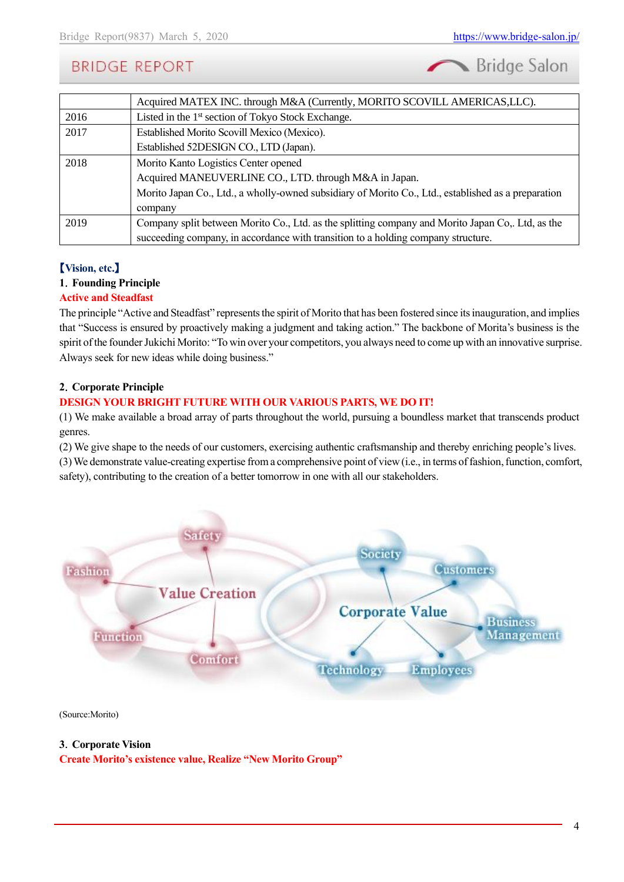Bridge Salon

|      | Acquired MATEX INC. through M&A (Currently, MORITO SCOVILL AMERICAS, LLC).                          |
|------|-----------------------------------------------------------------------------------------------------|
| 2016 | Listed in the 1 <sup>st</sup> section of Tokyo Stock Exchange.                                      |
| 2017 | Established Morito Scovill Mexico (Mexico).                                                         |
|      | Established 52DESIGN CO., LTD (Japan).                                                              |
| 2018 | Morito Kanto Logistics Center opened                                                                |
|      | Acquired MANEUVERLINE CO., LTD. through M&A in Japan.                                               |
|      | Morito Japan Co., Ltd., a wholly-owned subsidiary of Morito Co., Ltd., established as a preparation |
|      | company                                                                                             |
| 2019 | Company split between Morito Co., Ltd. as the splitting company and Morito Japan Co., Ltd, as the   |
|      | succeeding company, in accordance with transition to a holding company structure.                   |

### 【**Vision, etc.**】

#### **1**.**Founding Principle**

#### **Active and Steadfast**

The principle "Active and Steadfast" represents the spirit of Morito that has been fostered since its inauguration, and implies that "Success is ensured by proactively making a judgment and taking action." The backbone of Morita's business is the spirit of the founder Jukichi Morito: "To win over your competitors, you always need to come up with an innovative surprise. Always seek for new ideas while doing business."

#### **2**.**Corporate Principle**

#### **DESIGN YOUR BRIGHT FUTURE WITH OUR VARIOUS PARTS, WE DO IT!**

(1) We make available a broad array of parts throughout the world, pursuing a boundless market that transcends product genres.

(2) We give shape to the needs of our customers, exercising authentic craftsmanship and thereby enriching people's lives.

(3) We demonstrate value-creating expertise from a comprehensive point of view (i.e., in terms of fashion, function, comfort, safety), contributing to the creation of a better tomorrow in one with all our stakeholders.



(Source:Morito)

#### **3**.**Corporate Vision**

**Create Morito's existence value, Realize "New Morito Group"**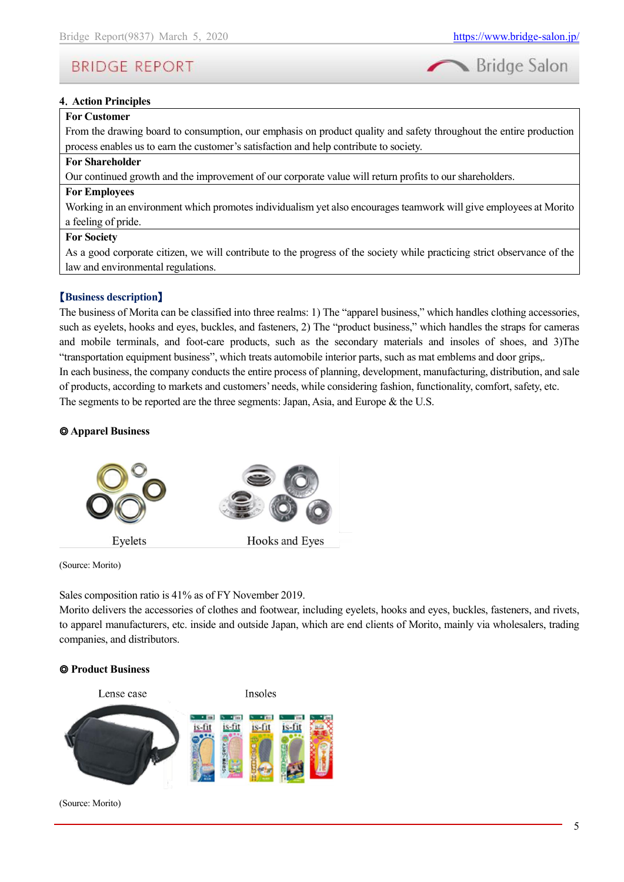

#### **4**.**Action Principles**

#### **For Customer**

From the drawing board to consumption, our emphasis on product quality and safety throughout the entire production process enables us to earn the customer's satisfaction and help contribute to society.

#### **For Shareholder**

Our continued growth and the improvement of our corporate value will return profits to our shareholders.

#### **For Employees**

Working in an environment which promotes individualism yet also encourages teamwork will give employees at Morito a feeling of pride.

#### **For Society**

As a good corporate citizen, we will contribute to the progress of the society while practicing strict observance of the law and environmental regulations.

#### 【**Business description**】

The business of Morita can be classified into three realms: 1) The "apparel business," which handles clothing accessories, such as eyelets, hooks and eyes, buckles, and fasteners, 2) The "product business," which handles the straps for cameras and mobile terminals, and foot-care products, such as the secondary materials and insoles of shoes, and 3)The "transportation equipment business", which treats automobile interior parts, such as mat emblems and door grips,. In each business, the company conducts the entire process of planning, development, manufacturing, distribution, and sale of products, according to markets and customers' needs, while considering fashion, functionality, comfort, safety, etc. The segments to be reported are the three segments: Japan, Asia, and Europe & the U.S.

#### ◎ **Apparel Business**



(Source: Morito)

Sales composition ratio is 41% as of FY November 2019.

Morito delivers the accessories of clothes and footwear, including eyelets, hooks and eyes, buckles, fasteners, and rivets, to apparel manufacturers, etc. inside and outside Japan, which are end clients of Morito, mainly via wholesalers, trading companies, and distributors.

#### ◎ **Product Business**



(Source: Morito)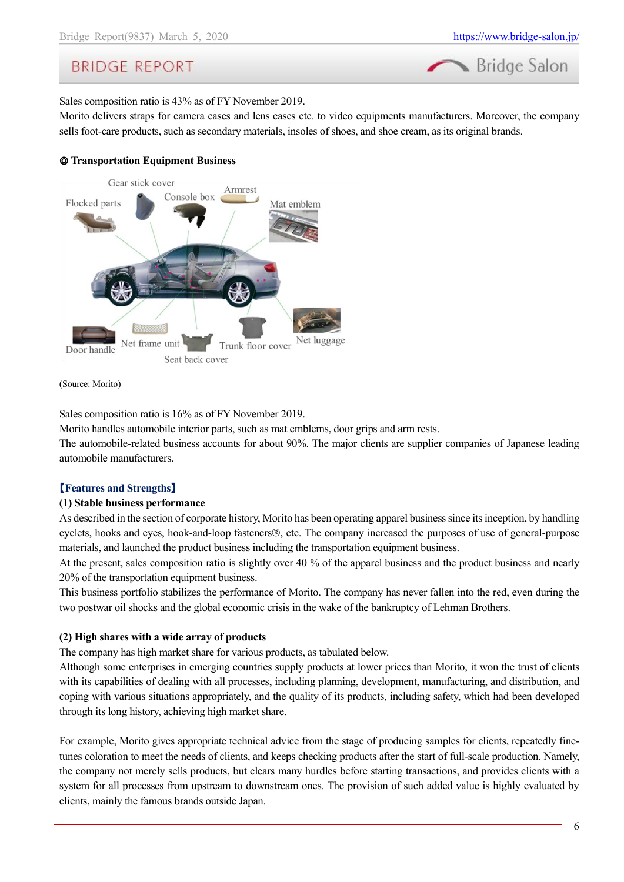

Sales composition ratio is 43% as of FY November 2019.

Morito delivers straps for camera cases and lens cases etc. to video equipments manufacturers. Moreover, the company sells foot-care products, such as secondary materials, insoles of shoes, and shoe cream, as its original brands.

#### ◎ **Transportation Equipment Business**



(Source: Morito)

Sales composition ratio is 16% as of FY November 2019.

Morito handles automobile interior parts, such as mat emblems, door grips and arm rests.

The automobile-related business accounts for about 90%. The major clients are supplier companies of Japanese leading automobile manufacturers.

#### 【**Features and Strengths**】

#### **(1) Stable business performance**

As described in the section of corporate history, Morito has been operating apparel business since its inception, by handling eyelets, hooks and eyes, hook-and-loop fasteners®, etc. The company increased the purposes of use of general-purpose materials, and launched the product business including the transportation equipment business.

At the present, sales composition ratio is slightly over 40 % of the apparel business and the product business and nearly 20% of the transportation equipment business.

This business portfolio stabilizes the performance of Morito. The company has never fallen into the red, even during the two postwar oil shocks and the global economic crisis in the wake of the bankruptcy of Lehman Brothers.

#### **(2) High shares with a wide array of products**

The company has high market share for various products, as tabulated below.

Although some enterprises in emerging countries supply products at lower prices than Morito, it won the trust of clients with its capabilities of dealing with all processes, including planning, development, manufacturing, and distribution, and coping with various situations appropriately, and the quality of its products, including safety, which had been developed through its long history, achieving high market share.

For example, Morito gives appropriate technical advice from the stage of producing samples for clients, repeatedly finetunes coloration to meet the needs of clients, and keeps checking products after the start of full-scale production. Namely, the company not merely sells products, but clears many hurdles before starting transactions, and provides clients with a system for all processes from upstream to downstream ones. The provision of such added value is highly evaluated by clients, mainly the famous brands outside Japan.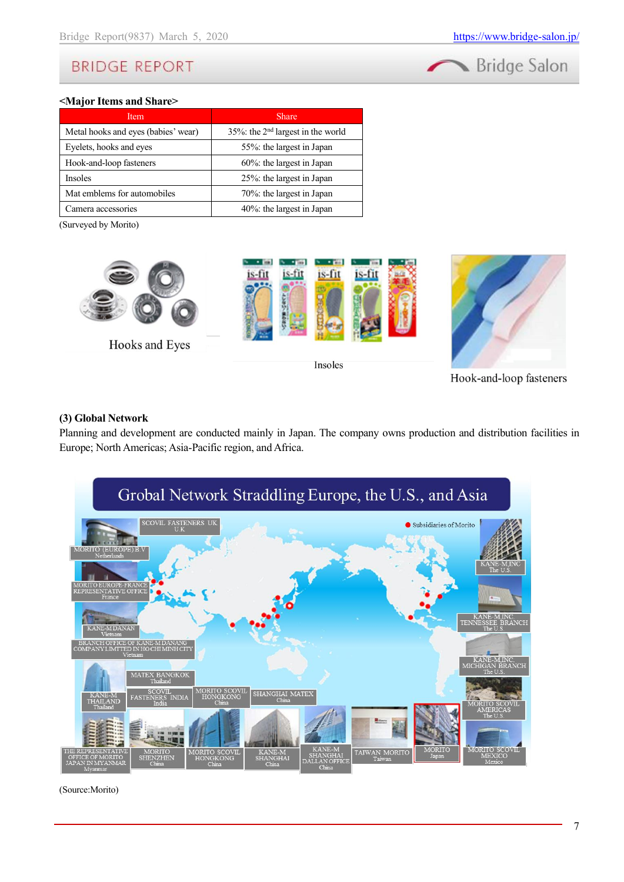

#### **<Major Items and Share>**

| Item                                | <b>Share</b>                                  |
|-------------------------------------|-----------------------------------------------|
| Metal hooks and eyes (babies' wear) | 35%: the 2 <sup>nd</sup> largest in the world |
| Eyelets, hooks and eyes             | 55%: the largest in Japan                     |
| Hook-and-loop fasteners             | $60\%$ : the largest in Japan                 |
| <b>Insoles</b>                      | 25%: the largest in Japan                     |
| Mat emblems for automobiles         | 70%: the largest in Japan                     |
| Camera accessories                  | 40%: the largest in Japan                     |

(Surveyed by Morito)



Insoles



Hook-and-loop fasteners

#### **(3) Global Network**

Planning and development are conducted mainly in Japan. The company owns production and distribution facilities in Europe; North Americas; Asia-Pacific region, and Africa.



(Source:Morito)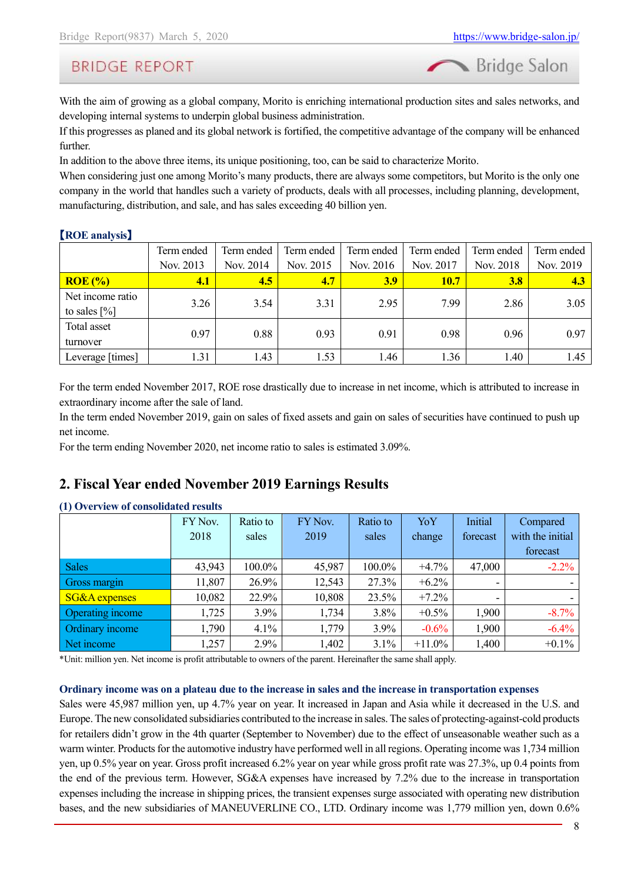Bridge Salon

# **BRIDGE REPORT**

With the aim of growing as a global company, Morito is enriching international production sites and sales networks, and developing internal systems to underpin global business administration.

If this progresses as planed and its global network is fortified, the competitive advantage of the company will be enhanced further.

In addition to the above three items, its unique positioning, too, can be said to characterize Morito.

When considering just one among Morito's many products, there are always some competitors, but Morito is the only one company in the world that handles such a variety of products, deals with all processes, including planning, development, manufacturing, distribution, and sale, and has sales exceeding 40 billion yen.

#### 【**ROE analysis**】

|                         | Term ended | Term ended | Term ended | Term ended | Term ended  | Term ended | Term ended |
|-------------------------|------------|------------|------------|------------|-------------|------------|------------|
|                         | Nov. 2013  | Nov. 2014  | Nov. 2015  | Nov. 2016  | Nov. 2017   | Nov. 2018  | Nov. 2019  |
| $ROE$ $%$               | <u>4.1</u> | 4.5        | 4.7        | <b>3.9</b> | <b>10.7</b> | 3.8        | 4.3        |
| Net income ratio        | 3.26       | 3.54       | 3.31       | 2.95       | 7.99        | 2.86       | 3.05       |
| to sales $[\%]$         |            |            |            |            |             |            |            |
| Total asset<br>turnover | 0.97       | 0.88       | 0.93       | 0.91       | 0.98        | 0.96       | 0.97       |
| Leverage [times]        | 1.31       | 1.43       | 1.53       | 1.46       | 1.36        | l.40       | 1.45       |

For the term ended November 2017, ROE rose drastically due to increase in net income, which is attributed to increase in extraordinary income after the sale of land.

In the term ended November 2019, gain on sales of fixed assets and gain on sales of securities have continued to push up net income.

For the term ending November 2020, net income ratio to sales is estimated 3.09%.

### <span id="page-7-0"></span>**2. Fiscal Year ended November 2019 Earnings Results**

| $\sim$ $\sim$            | FY Nov. | Ratio to | FY Nov. | Ratio to | YoY      | Initial  | Compared         |
|--------------------------|---------|----------|---------|----------|----------|----------|------------------|
|                          | 2018    | sales    | 2019    | sales    | change   | forecast | with the initial |
|                          |         |          |         |          |          |          | forecast         |
| <b>Sales</b>             | 43,943  | 100.0%   | 45,987  | 100.0%   | $+4.7\%$ | 47,000   | $-2.2\%$         |
| Gross margin             | 11,807  | 26.9%    | 12,543  | 27.3%    | $+6.2\%$ |          |                  |
| <b>SG&amp;A</b> expenses | 10,082  | 22.9%    | 10,808  | 23.5%    | $+7.2%$  |          |                  |
| Operating income         | 1,725   | $3.9\%$  | 1,734   | 3.8%     | $+0.5\%$ | 1,900    | $-8.7\%$         |
| Ordinary income          | 1,790   | 4.1%     | 1,779   | 3.9%     | $-0.6%$  | 1,900    | $-6.4\%$         |
| Net income               | 1,257   | 2.9%     | 1,402   | 3.1%     | $+11.0%$ | 1,400    | $+0.1\%$         |

#### **(1) Overview of consolidated results**

\*Unit: million yen. Net income is profit attributable to owners of the parent. Hereinafter the same shall apply.

#### **Ordinary income was on a plateau due to the increase in sales and the increase in transportation expenses**

Sales were 45,987 million yen, up 4.7% year on year. It increased in Japan and Asia while it decreased in the U.S. and Europe. The new consolidated subsidiaries contributed to the increase in sales. The sales of protecting-against-cold products for retailers didn't grow in the 4th quarter (September to November) due to the effect of unseasonable weather such as a warm winter. Products for the automotive industry have performed well in all regions. Operating income was 1,734 million yen, up 0.5% year on year. Gross profit increased 6.2% year on year while gross profit rate was 27.3%, up 0.4 points from the end of the previous term. However, SG&A expenses have increased by 7.2% due to the increase in transportation expenses including the increase in shipping prices, the transient expenses surge associated with operating new distribution bases, and the new subsidiaries of MANEUVERLINE CO., LTD. Ordinary income was 1,779 million yen, down 0.6%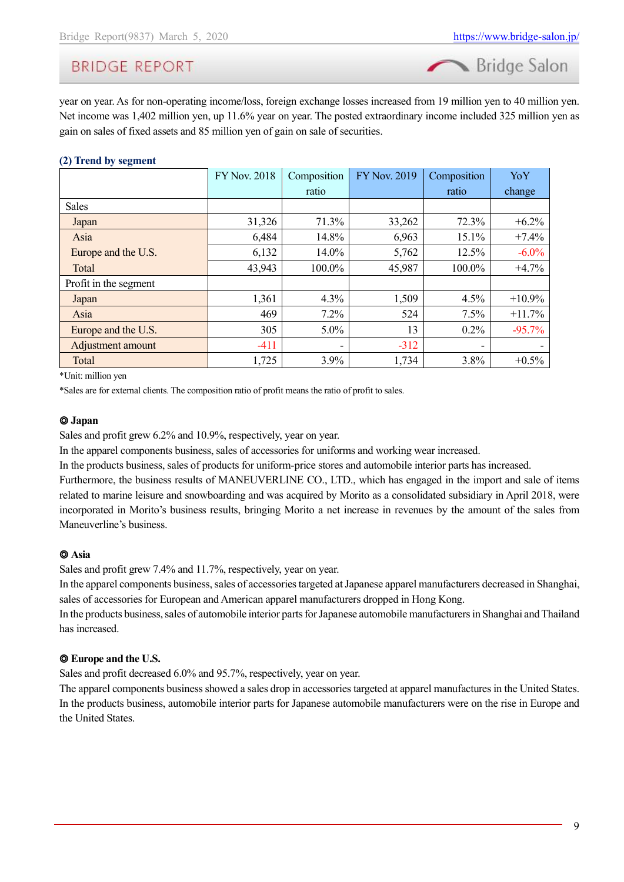Bridge Salon

year on year. As for non-operating income/loss, foreign exchange losses increased from 19 million yen to 40 million yen. Net income was 1,402 million yen, up 11.6% year on year. The posted extraordinary income included 325 million yen as gain on sales of fixed assets and 85 million yen of gain on sale of securities.

### **(2) Trend by segment**

|                       | <b>FY Nov. 2018</b> | Composition | <b>FY Nov. 2019</b> | Composition | YoY      |
|-----------------------|---------------------|-------------|---------------------|-------------|----------|
|                       |                     | ratio       |                     | ratio       | change   |
| <b>Sales</b>          |                     |             |                     |             |          |
| Japan                 | 31,326              | 71.3%       | 33,262              | 72.3%       | $+6.2\%$ |
| Asia                  | 6,484               | 14.8%       | 6,963               | 15.1%       | $+7.4%$  |
| Europe and the U.S.   | 6,132               | 14.0%       | 5,762               | 12.5%       | $-6.0\%$ |
| Total                 | 43,943              | 100.0%      | 45,987              | 100.0%      | $+4.7%$  |
| Profit in the segment |                     |             |                     |             |          |
| Japan                 | 1,361               | 4.3%        | 1,509               | 4.5%        | $+10.9%$ |
| Asia                  | 469                 | $7.2\%$     | 524                 | 7.5%        | $+11.7%$ |
| Europe and the U.S.   | 305                 | $5.0\%$     | 13                  | $0.2\%$     | $-95.7%$ |
| Adjustment amount     | $-411$              | ٠           | $-312$              | ٠           |          |
| Total                 | 1,725               | $3.9\%$     | 1,734               | 3.8%        | $+0.5\%$ |

\*Unit: million yen

\*Sales are for external clients. The composition ratio of profit means the ratio of profit to sales.

#### ◎ **Japan**

Sales and profit grew 6.2% and 10.9%, respectively, year on year.

In the apparel components business, sales of accessories for uniforms and working wear increased.

In the products business, sales of products for uniform-price stores and automobile interior parts has increased.

Furthermore, the business results of MANEUVERLINE CO., LTD., which has engaged in the import and sale of items related to marine leisure and snowboarding and was acquired by Morito as a consolidated subsidiary in April 2018, were incorporated in Morito's business results, bringing Morito a net increase in revenues by the amount of the sales from Maneuverline's business.

#### ◎ **Asia**

Sales and profit grew 7.4% and 11.7%, respectively, year on year.

In the apparel components business, sales of accessories targeted at Japanese apparel manufacturers decreased in Shanghai, sales of accessories for European and American apparel manufacturers dropped in Hong Kong.

In the products business, sales of automobile interior parts for Japanese automobile manufacturers in Shanghai and Thailand has increased.

#### ◎ **Europe and the U.S.**

Sales and profit decreased 6.0% and 95.7%, respectively, year on year.

The apparel components business showed a sales drop in accessories targeted at apparel manufactures in the United States. In the products business, automobile interior parts for Japanese automobile manufacturers were on the rise in Europe and the United States.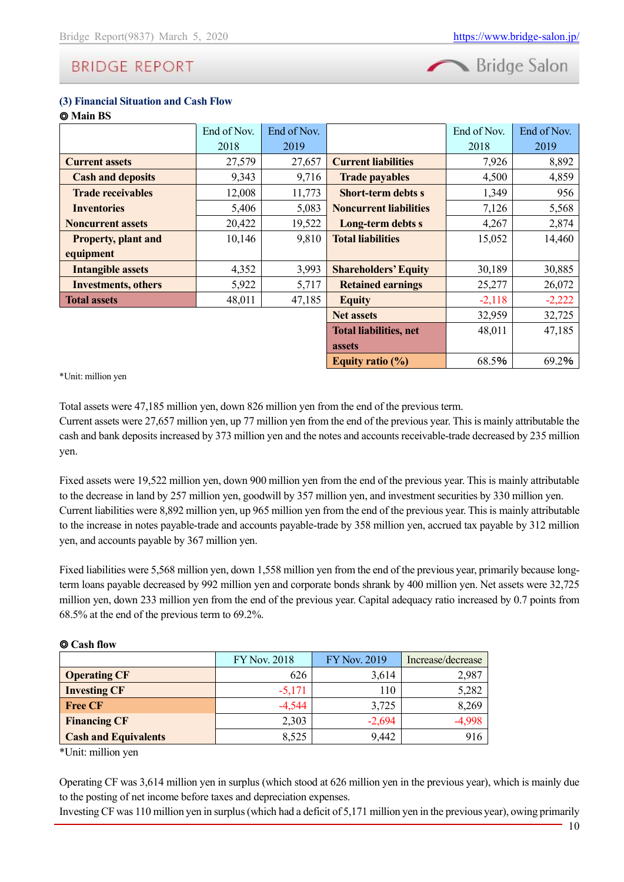Bridge Salon

#### **(3) Financial Situation and Cash Flow**

| <b>O</b> Main BS           |             |             |                               |             |             |
|----------------------------|-------------|-------------|-------------------------------|-------------|-------------|
|                            | End of Nov. | End of Nov. |                               | End of Nov. | End of Nov. |
|                            | 2018        | 2019        |                               | 2018        | 2019        |
| <b>Current assets</b>      | 27,579      | 27,657      | <b>Current liabilities</b>    | 7,926       | 8,892       |
| <b>Cash and deposits</b>   | 9,343       | 9,716       | <b>Trade payables</b>         | 4,500       | 4,859       |
| <b>Trade receivables</b>   | 12,008      | 11,773      | <b>Short-term debts s</b>     | 1,349       | 956         |
| <b>Inventories</b>         | 5,406       | 5,083       | <b>Noncurrent liabilities</b> | 7,126       | 5,568       |
| <b>Noncurrent assets</b>   | 20,422      | 19,522      | Long-term debts s             | 4,267       | 2,874       |
| <b>Property, plant and</b> | 10,146      | 9,810       | <b>Total liabilities</b>      | 15,052      | 14,460      |
| equipment                  |             |             |                               |             |             |
| <b>Intangible assets</b>   | 4,352       | 3,993       | <b>Shareholders' Equity</b>   | 30,189      | 30,885      |
| <b>Investments, others</b> | 5,922       | 5,717       | <b>Retained earnings</b>      | 25,277      | 26,072      |
| <b>Total assets</b>        | 48,011      | 47,185      | <b>Equity</b>                 | $-2,118$    | $-2,222$    |
|                            |             |             | <b>Net assets</b>             | 32,959      | 32,725      |
|                            |             |             | <b>Total liabilities, net</b> | 48,011      | 47,185      |
|                            |             |             | <b>assets</b>                 |             |             |
|                            |             |             | Equity ratio $(\%)$           | 68.5%       | 69.2%       |

\*Unit: million yen

Total assets were 47,185 million yen, down 826 million yen from the end of the previous term.

Current assets were 27,657 million yen, up 77 million yen from the end of the previous year. This is mainly attributable the cash and bank deposits increased by 373 million yen and the notes and accounts receivable-trade decreased by 235 million yen.

Fixed assets were 19,522 million yen, down 900 million yen from the end of the previous year. This is mainly attributable to the decrease in land by 257 million yen, goodwill by 357 million yen, and investment securities by 330 million yen. Current liabilities were 8,892 million yen, up 965 million yen from the end of the previous year. This is mainly attributable to the increase in notes payable-trade and accounts payable-trade by 358 million yen, accrued tax payable by 312 million yen, and accounts payable by 367 million yen.

Fixed liabilities were 5,568 million yen, down 1,558 million yen from the end of the previous year, primarily because longterm loans payable decreased by 992 million yen and corporate bonds shrank by 400 million yen. Net assets were 32,725 million yen, down 233 million yen from the end of the previous year. Capital adequacy ratio increased by 0.7 points from 68.5% at the end of the previous term to 69.2%.

#### ◎ **Cash flow**

|                             | <b>FY Nov. 2018</b> | <b>FY Nov. 2019</b> | Increase/decrease |
|-----------------------------|---------------------|---------------------|-------------------|
| <b>Operating CF</b>         | 626                 | 3,614               | 2,987             |
| <b>Investing CF</b>         | $-5,171$            | 110                 | 5,282             |
| <b>Free CF</b>              | $-4,544$            | 3,725               | 8,269             |
| <b>Financing CF</b>         | 2,303               | $-2,694$            |                   |
| <b>Cash and Equivalents</b> | 8,525               | 9,442               | 916               |

\*Unit: million yen

Operating CF was 3,614 million yen in surplus (which stood at 626 million yen in the previous year), which is mainly due to the posting of net income before taxes and depreciation expenses.

Investing CF was 110 million yen in surplus (which had a deficit of 5,171 million yen in the previous year), owing primarily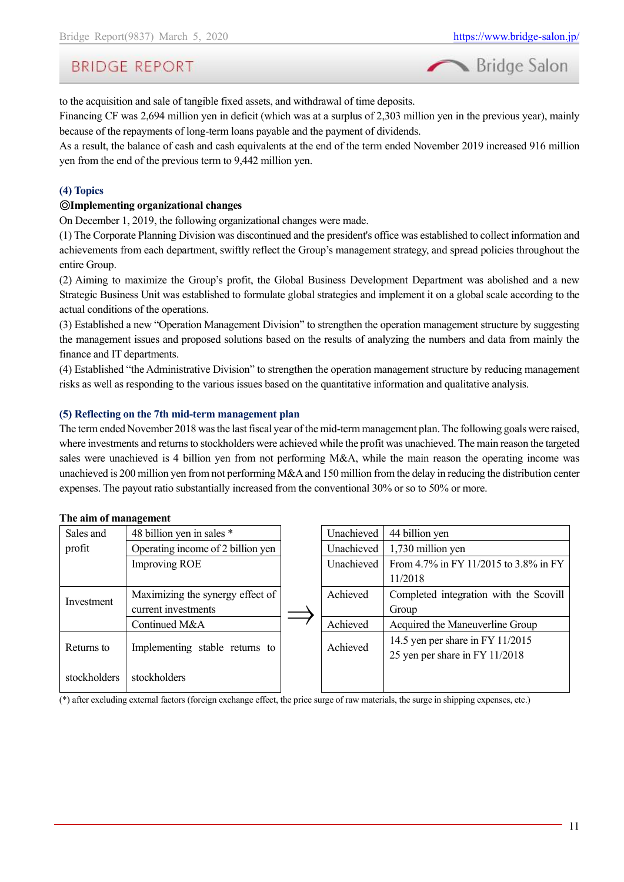

to the acquisition and sale of tangible fixed assets, and withdrawal of time deposits.

Financing CF was 2,694 million yen in deficit (which was at a surplus of 2,303 million yen in the previous year), mainly because of the repayments of long-term loans payable and the payment of dividends.

As a result, the balance of cash and cash equivalents at the end of the term ended November 2019 increased 916 million yen from the end of the previous term to 9,442 million yen.

#### **(4) Topics**

#### ◎**Implementing organizational changes**

On December 1, 2019, the following organizational changes were made.

(1) The Corporate Planning Division was discontinued and the president's office was established to collect information and achievements from each department, swiftly reflect the Group's management strategy, and spread policies throughout the entire Group.

(2) Aiming to maximize the Group's profit, the Global Business Development Department was abolished and a new Strategic Business Unit was established to formulate global strategies and implement it on a global scale according to the actual conditions of the operations.

(3) Established a new "Operation Management Division" to strengthen the operation management structure by suggesting the management issues and proposed solutions based on the results of analyzing the numbers and data from mainly the finance and IT departments.

(4) Established "the Administrative Division" to strengthen the operation management structure by reducing management risks as well as responding to the various issues based on the quantitative information and qualitative analysis.

#### **(5) Reflecting on the 7th mid-term management plan**

The term ended November 2018 was the last fiscal year of the mid-term management plan. The following goals were raised, where investments and returns to stockholders were achieved while the profit was unachieved. The main reason the targeted sales were unachieved is 4 billion yen from not performing M&A, while the main reason the operating income was unachieved is 200 million yen from not performing M&A and 150 million from the delay in reducing the distribution center expenses. The payout ratio substantially increased from the conventional 30% or so to 50% or more.

#### **The aim of management**

| Sales and    | 48 billion yen in sales *         | Unachieved | 44 billion yen                         |
|--------------|-----------------------------------|------------|----------------------------------------|
| profit       | Operating income of 2 billion yen | Unachieved | 1,730 million yen                      |
|              | <b>Improving ROE</b>              | Unachieved | From 4.7% in FY 11/2015 to 3.8% in FY  |
|              |                                   |            | 11/2018                                |
| Investment   | Maximizing the synergy effect of  | Achieved   | Completed integration with the Scovill |
|              | current investments               |            | Group                                  |
|              | Continued M&A                     | Achieved   | Acquired the Maneuverline Group        |
| Returns to   |                                   | Achieved   | 14.5 yen per share in FY 11/2015       |
|              | Implementing stable returns to    |            | 25 yen per share in FY 11/2018         |
| stockholders | stockholders                      |            |                                        |

(\*) after excluding external factors (foreign exchange effect, the price surge of raw materials, the surge in shipping expenses, etc.)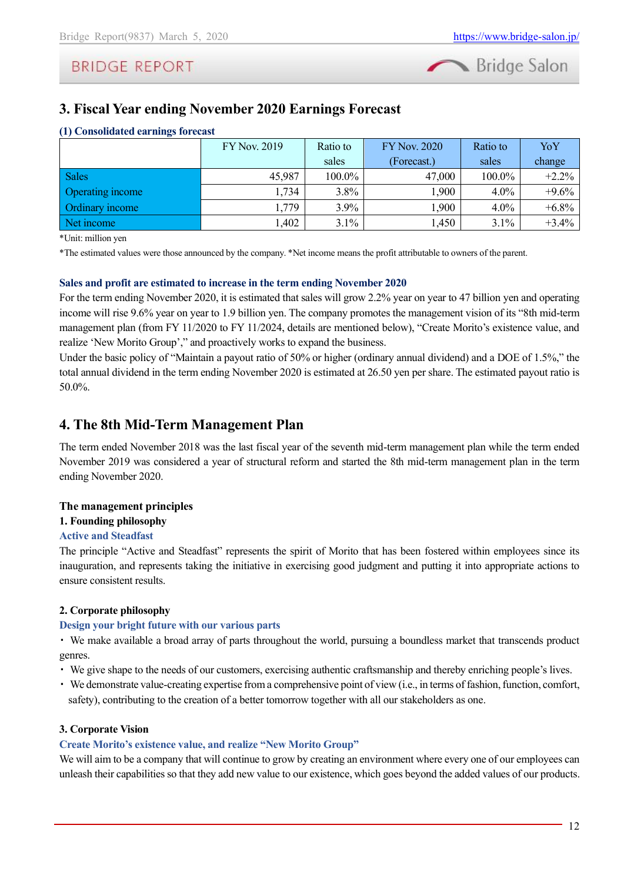

# <span id="page-11-0"></span>**3. Fiscal Year ending November 2020 Earnings Forecast**

| (1) Consolidated earnings forecast |                     |  |
|------------------------------------|---------------------|--|
|                                    | <b>FY Nov. 2019</b> |  |

|                  | <b>FY Nov. 2019</b> | Ratio to | <b>FY Nov. 2020</b> | Ratio to | YoY      |
|------------------|---------------------|----------|---------------------|----------|----------|
|                  |                     | sales    | (Forecast.)         | sales    | change   |
| <b>Sales</b>     | 45,987              | 100.0%   | 47,000              | 100.0%   | $+2.2%$  |
| Operating income | 1,734               | $3.8\%$  | 1,900               | $4.0\%$  | $+9.6%$  |
| Ordinary income  | .,779               | 3.9%     | 1,900               | $4.0\%$  | $+6.8\%$ |
| Net income       | .402                | $3.1\%$  | 1,450               | $3.1\%$  | $+3.4\%$ |

\*Unit: million yen

\*The estimated values were those announced by the company. \*Net income means the profit attributable to owners of the parent.

#### **Sales and profit are estimated to increase in the term ending November 2020**

For the term ending November 2020, it is estimated that sales will grow 2.2% year on year to 47 billion yen and operating income will rise 9.6% year on year to 1.9 billion yen. The company promotes the management vision of its "8th mid-term management plan (from FY 11/2020 to FY 11/2024, details are mentioned below), "Create Morito's existence value, and realize 'New Morito Group'," and proactively works to expand the business.

Under the basic policy of "Maintain a payout ratio of 50% or higher (ordinary annual dividend) and a DOE of 1.5%," the total annual dividend in the term ending November 2020 is estimated at 26.50 yen per share. The estimated payout ratio is 50.0%.

### <span id="page-11-1"></span>**4. The 8th Mid-Term Management Plan**

The term ended November 2018 was the last fiscal year of the seventh mid-term management plan while the term ended November 2019 was considered a year of structural reform and started the 8th mid-term management plan in the term ending November 2020.

#### **The management principles**

#### **1. Founding philosophy**

#### **Active and Steadfast**

The principle "Active and Steadfast" represents the spirit of Morito that has been fostered within employees since its inauguration, and represents taking the initiative in exercising good judgment and putting it into appropriate actions to ensure consistent results.

#### **2. Corporate philosophy**

#### **Design your bright future with our various parts**

・ We make available a broad array of parts throughout the world, pursuing a boundless market that transcends product genres.

- ・ We give shape to the needs of our customers, exercising authentic craftsmanship and thereby enriching people's lives.
- ・ We demonstrate value-creating expertise from a comprehensive point of view (i.e., in terms of fashion, function, comfort, safety), contributing to the creation of a better tomorrow together with all our stakeholders as one.

#### **3. Corporate Vision**

### **Create Morito's existence value, and realize "New Morito Group"**

We will aim to be a company that will continue to grow by creating an environment where every one of our employees can unleash their capabilities so that they add new value to our existence, which goes beyond the added values of our products.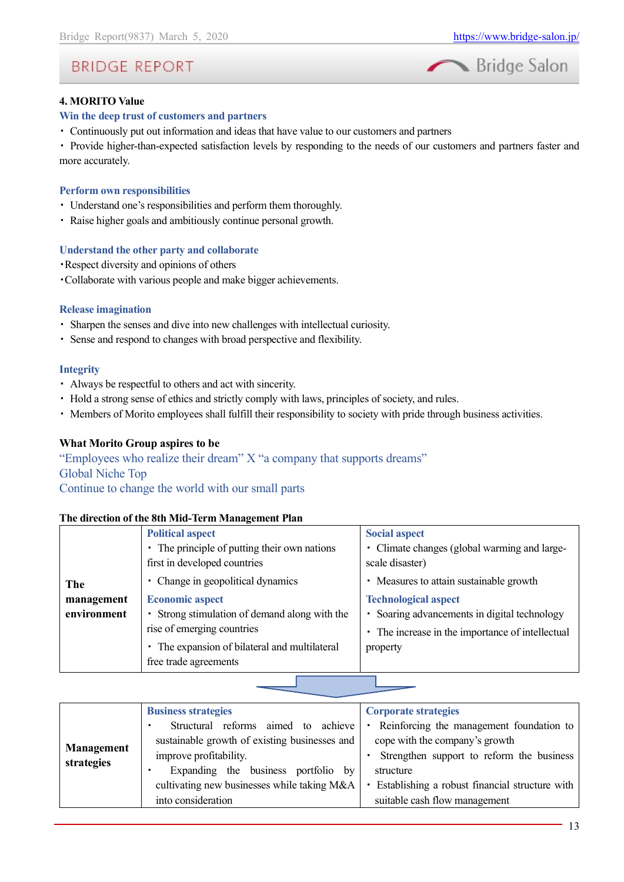

#### **4. MORITO Value**

#### **Win the deep trust of customers and partners**

・ Continuously put out information and ideas that have value to our customers and partners

・ Provide higher-than-expected satisfaction levels by responding to the needs of our customers and partners faster and more accurately.

#### **Perform own responsibilities**

- ・ Understand one's responsibilities and perform them thoroughly.
- ・ Raise higher goals and ambitiously continue personal growth.

#### **Understand the other party and collaborate**

- ・Respect diversity and opinions of others
- ・Collaborate with various people and make bigger achievements.

#### **Release imagination**

- ・ Sharpen the senses and dive into new challenges with intellectual curiosity.
- ・ Sense and respond to changes with broad perspective and flexibility.

#### **Integrity**

- ・ Always be respectful to others and act with sincerity.
- ・ Hold a strong sense of ethics and strictly comply with laws, principles of society, and rules.
- ・ Members of Morito employees shall fulfill their responsibility to society with pride through business activities.

#### **What Morito Group aspires to be**

"Employees who realize their dream" X "a company that supports dreams" Global Niche Top

Continue to change the world with our small parts

#### **The direction of the 8th Mid-Term Management Plan**

|             | <b>Political aspect</b>                       | <b>Social aspect</b>                             |
|-------------|-----------------------------------------------|--------------------------------------------------|
|             | • The principle of putting their own nations  | • Climate changes (global warming and large-     |
|             | first in developed countries                  | scale disaster)                                  |
| The         | • Change in geopolitical dynamics             | • Measures to attain sustainable growth          |
| management  | <b>Economic aspect</b>                        | <b>Technological aspect</b>                      |
| environment | • Strong stimulation of demand along with the | • Soaring advancements in digital technology     |
|             | rise of emerging countries                    | • The increase in the importance of intellectual |
|             | The expansion of bilateral and multilateral   | property                                         |
|             | free trade agreements                         |                                                  |

|                   | <b>Business strategies</b>                    | Corporate strategies                                       |
|-------------------|-----------------------------------------------|------------------------------------------------------------|
|                   | Structural reforms aimed to achieve           | Reinforcing the management foundation to<br>$\blacksquare$ |
|                   | sustainable growth of existing businesses and | cope with the company's growth                             |
| <b>Management</b> | improve profitability.                        | Strengthen support to reform the business                  |
| strategies        | Expanding the business portfolio by           | structure                                                  |
|                   | cultivating new businesses while taking M&A   | Establishing a robust financial structure with<br>٠        |
|                   | into consideration                            | suitable cash flow management                              |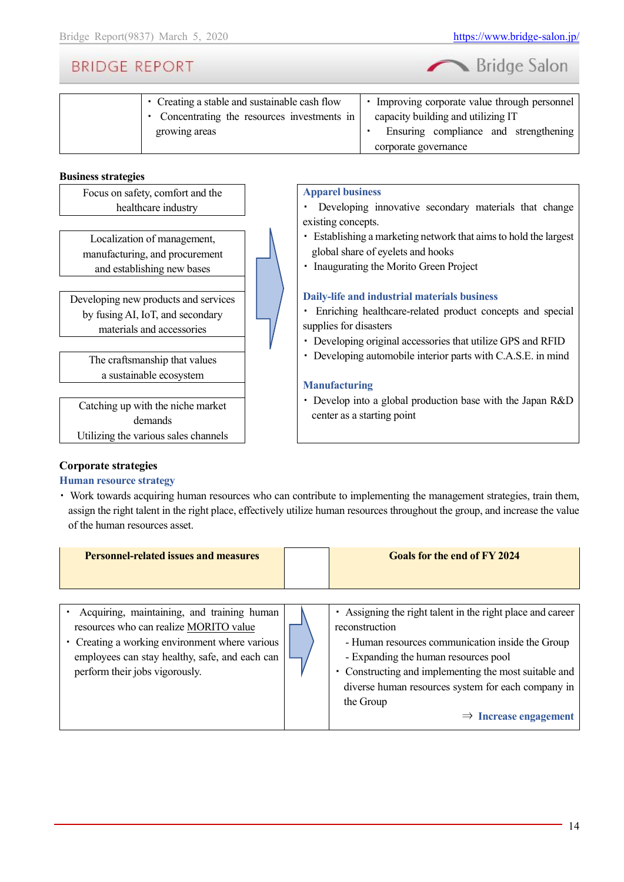| Bridge Salon |  |
|--------------|--|
|              |  |

| • Creating a stable and sustainable cash flow | Improving corporate value through personnel |
|-----------------------------------------------|---------------------------------------------|
| • Concentrating the resources investments in  | capacity building and utilizing IT          |
| growing areas                                 | Ensuring compliance and strengthening       |
|                                               | corporate governance                        |

#### **Business strategies**

Focus on safety, comfort and the healthcare industry

Localization of management, manufacturing, and procurement and establishing new bases

Developing new products and services by fusing AI, IoT, and secondary materials and accessories

> The craftsmanship that values a sustainable ecosystem

Catching up with the niche market demands Utilizing the various sales channels

#### **Apparel business**

・ Developing innovative secondary materials that change existing concepts.

- ・ Establishing a marketing network that aims to hold the largest global share of eyelets and hooks
- ・ Inaugurating the Morito Green Project

#### **Daily-life and industrial materials business**

・ Enriching healthcare-related product concepts and special supplies for disasters

- ・ Developing original accessories that utilize GPS and RFID
- ・ Developing automobile interior parts with C.A.S.E. in mind

#### **Manufacturing**

・ Develop into a global production base with the Japan R&D center as a starting point

#### **Corporate strategies**

#### **Human resource strategy**

・ Work towards acquiring human resources who can contribute to implementing the management strategies, train them, assign the right talent in the right place, effectively utilize human resources throughout the group, and increase the value of the human resources asset.

| <b>Personnel-related issues and measures</b>                                                                                                                                                                               | <b>Goals for the end of FY 2024</b>                                                                                                                                                                                                                                                                                                     |
|----------------------------------------------------------------------------------------------------------------------------------------------------------------------------------------------------------------------------|-----------------------------------------------------------------------------------------------------------------------------------------------------------------------------------------------------------------------------------------------------------------------------------------------------------------------------------------|
| Acquiring, maintaining, and training human<br>resources who can realize MORITO value<br>• Creating a working environment where various<br>employees can stay healthy, safe, and each can<br>perform their jobs vigorously. | Assigning the right talent in the right place and career<br>reconstruction<br>- Human resources communication inside the Group<br>- Expanding the human resources pool<br>• Constructing and implementing the most suitable and<br>diverse human resources system for each company in<br>the Group<br>$\Rightarrow$ Increase engagement |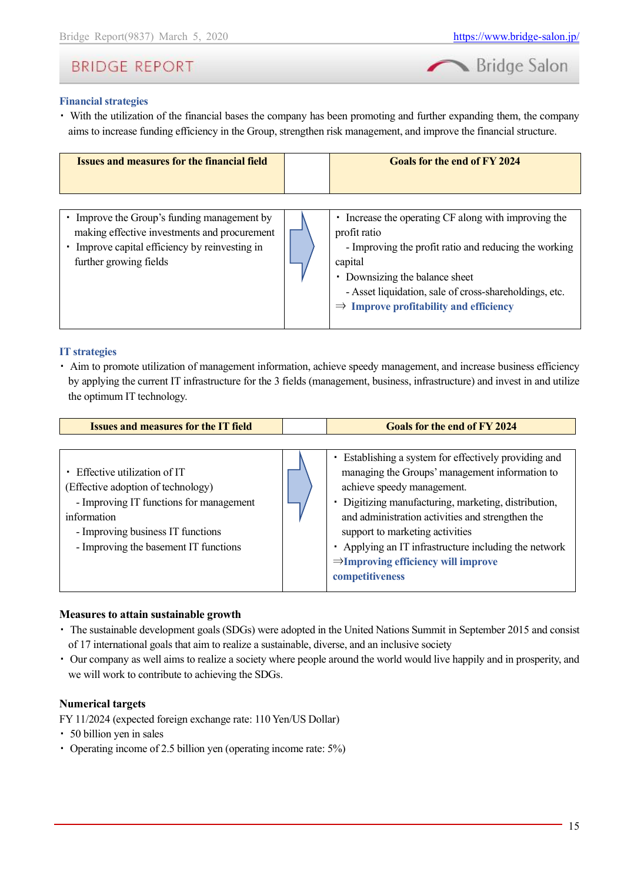

### **Financial strategies**

・ With the utilization of the financial bases the company has been promoting and further expanding them, the company aims to increase funding efficiency in the Group, strengthen risk management, and improve the financial structure.

| <b>Issues and measures for the financial field</b>                                                                                                                  | <b>Goals for the end of FY 2024</b>                                                                                                                                                                                                                                                        |
|---------------------------------------------------------------------------------------------------------------------------------------------------------------------|--------------------------------------------------------------------------------------------------------------------------------------------------------------------------------------------------------------------------------------------------------------------------------------------|
| Improve the Group's funding management by<br>making effective investments and procurement<br>Improve capital efficiency by reinvesting in<br>further growing fields | • Increase the operating CF along with improving the<br>profit ratio<br>- Improving the profit ratio and reducing the working<br>capital<br>• Downsizing the balance sheet<br>- Asset liquidation, sale of cross-shareholdings, etc.<br>$\Rightarrow$ Improve profitability and efficiency |

#### **IT strategies**

・ Aim to promote utilization of management information, achieve speedy management, and increase business efficiency by applying the current IT infrastructure for the 3 fields (management, business, infrastructure) and invest in and utilize the optimum IT technology.

| <b>Issues and measures for the IT field</b>                                                                                                                                                               | <b>Goals for the end of FY 2024</b>                                                                                                                                                                                                                                                                                                                                                                               |
|-----------------------------------------------------------------------------------------------------------------------------------------------------------------------------------------------------------|-------------------------------------------------------------------------------------------------------------------------------------------------------------------------------------------------------------------------------------------------------------------------------------------------------------------------------------------------------------------------------------------------------------------|
|                                                                                                                                                                                                           |                                                                                                                                                                                                                                                                                                                                                                                                                   |
| Effective utilization of IT<br>(Effective adoption of technology)<br>- Improving IT functions for management<br>information<br>- Improving business IT functions<br>- Improving the basement IT functions | Establishing a system for effectively providing and<br>managing the Groups' management information to<br>achieve speedy management.<br>· Digitizing manufacturing, marketing, distribution,<br>and administration activities and strengthen the<br>support to marketing activities<br>• Applying an IT infrastructure including the network<br>$\Rightarrow$ Improving efficiency will improve<br>competitiveness |

#### **Measures to attain sustainable growth**

- ・ The sustainable development goals (SDGs) were adopted in the United Nations Summit in September 2015 and consist of 17 international goals that aim to realize a sustainable, diverse, and an inclusive society
- ・ Our company as well aims to realize a society where people around the world would live happily and in prosperity, and we will work to contribute to achieving the SDGs.

#### **Numerical targets**

FY 11/2024 (expected foreign exchange rate: 110 Yen/US Dollar)

- ・ 50 billion yen in sales
- ・ Operating income of 2.5 billion yen (operating income rate: 5%)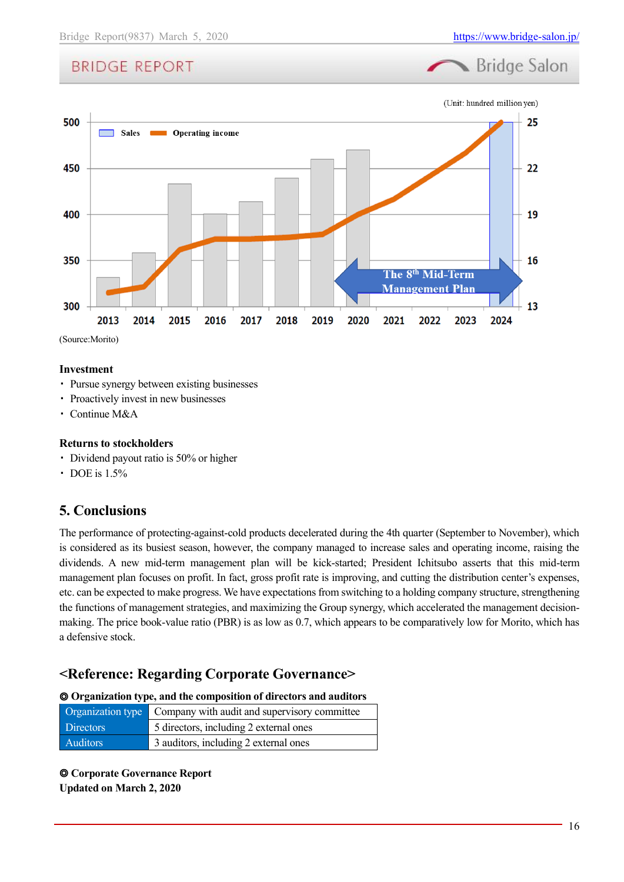



#### **Investment**

- ・ Pursue synergy between existing businesses
- ・ Proactively invest in new businesses
- ・ Continue M&A

#### **Returns to stockholders**

- ・ Dividend payout ratio is 50% or higher
- DOE is 1.5%

### <span id="page-15-0"></span>**5. Conclusions**

The performance of protecting-against-cold products decelerated during the 4th quarter (September to November), which is considered as its busiest season, however, the company managed to increase sales and operating income, raising the dividends. A new mid-term management plan will be kick-started; President Ichitsubo asserts that this mid-term management plan focuses on profit. In fact, gross profit rate is improving, and cutting the distribution center's expenses, etc. can be expected to make progress. We have expectations from switching to a holding company structure, strengthening the functions of management strategies, and maximizing the Group synergy, which accelerated the management decisionmaking. The price book-value ratio (PBR) is as low as 0.7, which appears to be comparatively low for Morito, which has a defensive stock.

### <span id="page-15-1"></span>**<Reference: Regarding Corporate Governance>**

#### ◎ **Organization type, and the composition of directors and auditors**

|                  | <b>Organization type</b> Company with audit and supervisory committee |
|------------------|-----------------------------------------------------------------------|
| <b>Directors</b> | 5 directors, including 2 external ones                                |
| <b>Auditors</b>  | 3 auditors, including 2 external ones                                 |

◎ **Corporate Governance Report Updated on March 2, 2020**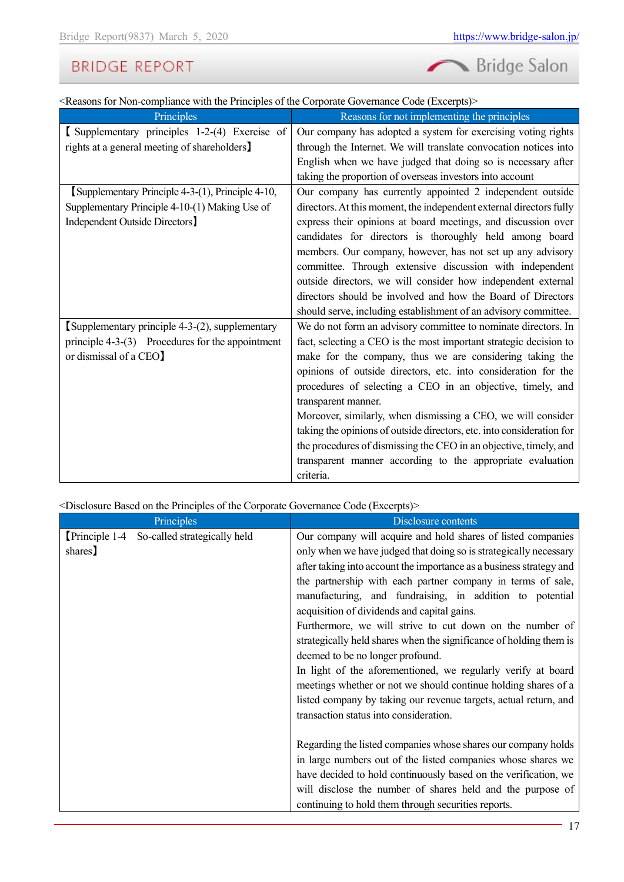

<Reasons for Non-compliance with the Principles of the Corporate Governance Code (Excerpts)>

| Principles                                         | Reasons for not implementing the principles                           |
|----------------------------------------------------|-----------------------------------------------------------------------|
| Supplementary principles 1-2-(4) Exercise of       | Our company has adopted a system for exercising voting rights         |
| rights at a general meeting of shareholders]       | through the Internet. We will translate convocation notices into      |
|                                                    | English when we have judged that doing so is necessary after          |
|                                                    | taking the proportion of overseas investors into account              |
| [Supplementary Principle 4-3-(1), Principle 4-10,  | Our company has currently appointed 2 independent outside             |
| Supplementary Principle 4-10-(1) Making Use of     | directors. At this moment, the independent external directors fully   |
| Independent Outside Directors]                     | express their opinions at board meetings, and discussion over         |
|                                                    | candidates for directors is thoroughly held among board               |
|                                                    | members. Our company, however, has not set up any advisory            |
|                                                    | committee. Through extensive discussion with independent              |
|                                                    | outside directors, we will consider how independent external          |
|                                                    | directors should be involved and how the Board of Directors           |
|                                                    | should serve, including establishment of an advisory committee.       |
| Supplementary principle 4-3-(2), supplementary     | We do not form an advisory committee to nominate directors. In        |
| principle $4-3-(3)$ Procedures for the appointment | fact, selecting a CEO is the most important strategic decision to     |
| or dismissal of a CEO]                             | make for the company, thus we are considering taking the              |
|                                                    | opinions of outside directors, etc. into consideration for the        |
|                                                    | procedures of selecting a CEO in an objective, timely, and            |
|                                                    | transparent manner.                                                   |
|                                                    | Moreover, similarly, when dismissing a CEO, we will consider          |
|                                                    | taking the opinions of outside directors, etc. into consideration for |
|                                                    | the procedures of dismissing the CEO in an objective, timely, and     |
|                                                    | transparent manner according to the appropriate evaluation            |
|                                                    | criteria.                                                             |

<Disclosure Based on the Principles of the Corporate Governance Code (Excerpts)>

|         | Principles                                 | Disclosure contents                                                                                                                                                                                                                                                                                                                                                                                                                                                                                                                                                                                                                                                                                                                                                                                      |
|---------|--------------------------------------------|----------------------------------------------------------------------------------------------------------------------------------------------------------------------------------------------------------------------------------------------------------------------------------------------------------------------------------------------------------------------------------------------------------------------------------------------------------------------------------------------------------------------------------------------------------------------------------------------------------------------------------------------------------------------------------------------------------------------------------------------------------------------------------------------------------|
| shares) | Principle 1-4 So-called strategically held | Our company will acquire and hold shares of listed companies<br>only when we have judged that doing so is strategically necessary<br>after taking into account the importance as a business strategy and<br>the partnership with each partner company in terms of sale,<br>manufacturing, and fundraising, in addition to potential<br>acquisition of dividends and capital gains.<br>Furthermore, we will strive to cut down on the number of<br>strategically held shares when the significance of holding them is<br>deemed to be no longer profound.<br>In light of the aforementioned, we regularly verify at board<br>meetings whether or not we should continue holding shares of a<br>listed company by taking our revenue targets, actual return, and<br>transaction status into consideration. |
|         |                                            | Regarding the listed companies whose shares our company holds<br>in large numbers out of the listed companies whose shares we<br>have decided to hold continuously based on the verification, we<br>will disclose the number of shares held and the purpose of<br>continuing to hold them through securities reports.                                                                                                                                                                                                                                                                                                                                                                                                                                                                                    |